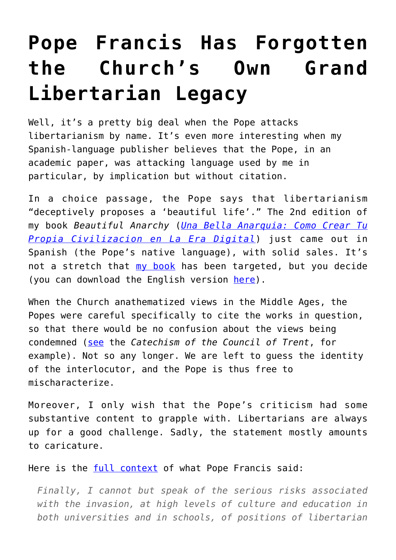# **[Pope Francis Has Forgotten](https://intellectualtakeout.org/2017/05/pope-francis-has-forgotten-the-churchs-own-grand-libertarian-legacy/) [the Church's Own Grand](https://intellectualtakeout.org/2017/05/pope-francis-has-forgotten-the-churchs-own-grand-libertarian-legacy/) [Libertarian Legacy](https://intellectualtakeout.org/2017/05/pope-francis-has-forgotten-the-churchs-own-grand-libertarian-legacy/)**

Well, it's a pretty big deal when the Pope attacks libertarianism by name. It's even more interesting when my Spanish-language publisher believes that the Pope, in an academic paper, was attacking language used by me in particular, by implication but without citation.

In a choice passage, the Pope says that libertarianism "deceptively proposes a 'beautiful life'." The 2nd edition of my book *Beautiful Anarchy* (*[Una Bella Anarquia: Como Crear Tu](http://amzn.to/2pycotC) [Propia Civilizacion en La Era Digital](http://amzn.to/2pycotC)*) just came out in Spanish (the Pope's native language), with solid sales. It's not a stretch that [my book](https://www.amazon.com/Una-Bella-Anarquia-Jeffrey-Tucker/dp/B00OYN5WYS) has been targeted, but you decide (you can download the English version [here\)](https://fee.org/media/14672/tucker-abeautifulanarchy-libertyme.epub).

When the Church anathematized views in the Middle Ages, the Popes were careful specifically to cite the works in question, so that there would be no confusion about the views being condemned ([see](https://archive.org/stream/thecatechismofth00donouoft/thecatechismofth00donouoft_djvu.txt) the *Catechism of the Council of Trent*, for example). Not so any longer. We are left to guess the identity of the interlocutor, and the Pope is thus free to mischaracterize.

Moreover, I only wish that the Pope's criticism had some substantive content to grapple with. Libertarians are always up for a good challenge. Sadly, the statement mostly amounts to caricature.

Here is the **full context** of what Pope Francis said:

*Finally, I cannot but speak of the serious risks associated with the invasion, at high levels of culture and education in both universities and in schools, of positions of libertarian*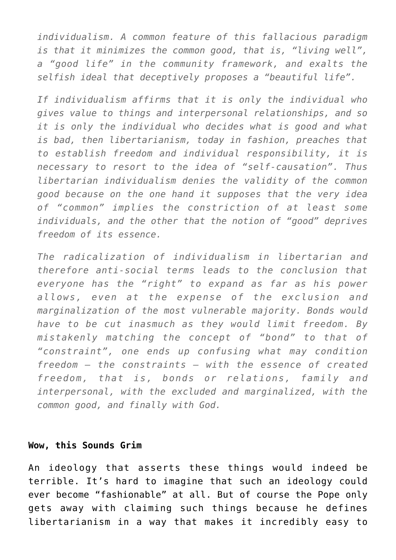*individualism. A common feature of this fallacious paradigm is that it minimizes the common good, that is, "living well", a "good life" in the community framework, and exalts the selfish ideal that deceptively proposes a "beautiful life".*

*If individualism affirms that it is only the individual who gives value to things and interpersonal relationships, and so it is only the individual who decides what is good and what is bad, then libertarianism, today in fashion, preaches that to establish freedom and individual responsibility, it is necessary to resort to the idea of "self-causation". Thus libertarian individualism denies the validity of the common good because on the one hand it supposes that the very idea of "common" implies the constriction of at least some individuals, and the other that the notion of "good" deprives freedom of its essence.*

*The radicalization of individualism in libertarian and therefore anti-social terms leads to the conclusion that everyone has the "right" to expand as far as his power allows, even at the expense of the exclusion and marginalization of the most vulnerable majority. Bonds would have to be cut inasmuch as they would limit freedom. By mistakenly matching the concept of "bond" to that of "constraint", one ends up confusing what may condition freedom – the constraints – with the essence of created freedom, that is, bonds or relations, family and interpersonal, with the excluded and marginalized, with the common good, and finally with God.*

#### **Wow, this Sounds Grim**

An ideology that asserts these things would indeed be terrible. It's hard to imagine that such an ideology could ever become "fashionable" at all. But of course the Pope only gets away with claiming such things because he defines libertarianism in a way that makes it incredibly easy to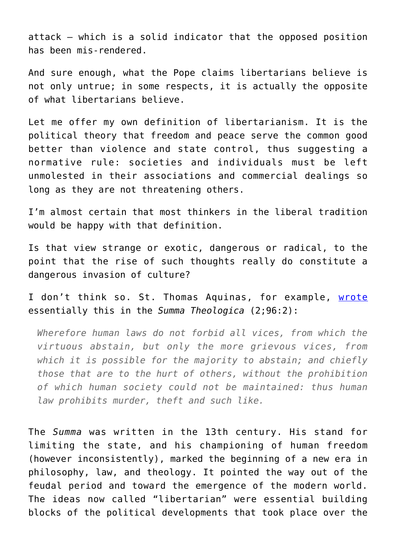attack – which is a solid indicator that the opposed position has been mis-rendered.

And sure enough, what the Pope claims libertarians believe is not only untrue; in some respects, it is actually the opposite of what libertarians believe.

Let me offer my own definition of libertarianism. It is the political theory that freedom and peace serve the common good better than violence and state control, thus suggesting a normative rule: societies and individuals must be left unmolested in their associations and commercial dealings so long as they are not threatening others.

I'm almost certain that most thinkers in the liberal tradition would be happy with that definition.

Is that view strange or exotic, dangerous or radical, to the point that the rise of such thoughts really do constitute a dangerous invasion of culture?

I don't think so. St. Thomas Aquinas, for example, [wrote](http://www.newadvent.org/summa/2096.htm) essentially this in the *Summa Theologica* (2;96:2):

*Wherefore human laws do not forbid all vices, from which the virtuous abstain, but only the more grievous vices, from which it is possible for the majority to abstain; and chiefly those that are to the hurt of others, without the prohibition of which human society could not be maintained: thus human law prohibits murder, theft and such like.*

The *Summa* was written in the 13th century. His stand for limiting the state, and his championing of human freedom (however inconsistently), marked the beginning of a new era in philosophy, law, and theology. It pointed the way out of the feudal period and toward the emergence of the modern world. The ideas now called "libertarian" were essential building blocks of the political developments that took place over the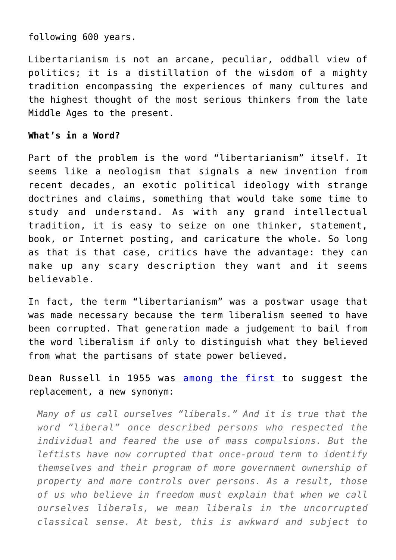following 600 years.

Libertarianism is not an arcane, peculiar, oddball view of politics; it is a distillation of the wisdom of a mighty tradition encompassing the experiences of many cultures and the highest thought of the most serious thinkers from the late Middle Ages to the present.

## **What's in a Word?**

Part of the problem is the word "libertarianism" itself. It seems like a neologism that signals a new invention from recent decades, an exotic political ideology with strange doctrines and claims, something that would take some time to study and understand. As with any grand intellectual tradition, it is easy to seize on one thinker, statement, book, or Internet posting, and caricature the whole. So long as that is that case, critics have the advantage: they can make up any scary description they want and it seems believable.

In fact, the term "libertarianism" was a postwar usage that was made necessary because the term liberalism seemed to have been corrupted. That generation made a judgement to bail from the word liberalism if only to distinguish what they believed from what the partisans of state power believed.

Dean Russell in 1955 was [among the first](https://fee.org/articles/who-is-a-libertarian/) to suggest the replacement, a new synonym:

*Many of us call ourselves "liberals." And it is true that the word "liberal" once described persons who respected the individual and feared the use of mass compulsions. But the leftists have now corrupted that once-proud term to identify themselves and their program of more government ownership of property and more controls over persons. As a result, those of us who believe in freedom must explain that when we call ourselves liberals, we mean liberals in the uncorrupted classical sense. At best, this is awkward and subject to*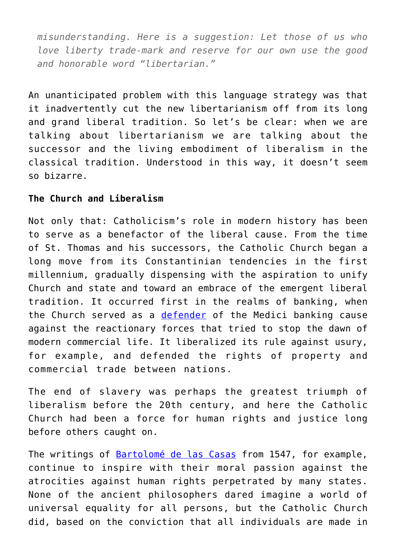*misunderstanding. Here is a suggestion: Let those of us who love liberty trade-mark and reserve for our own use the good and honorable word "libertarian."*

An unanticipated problem with this language strategy was that it inadvertently cut the new libertarianism off from its long and grand liberal tradition. So let's be clear: when we are talking about libertarianism we are talking about the successor and the living embodiment of liberalism in the classical tradition. Understood in this way, it doesn't seem so bizarre.

# **The Church and Liberalism**

Not only that: Catholicism's role in modern history has been to serve as a benefactor of the liberal cause. From the time of St. Thomas and his successors, the Catholic Church began a long move from its Constantinian tendencies in the first millennium, gradually dispensing with the aspiration to unify Church and state and toward an embrace of the emergent liberal tradition. It occurred first in the realms of banking, when the Church served as a [defender](https://fee.org/articles/netflix-does-the-birth-of-modern-finance-with-drama/) of the Medici banking cause against the reactionary forces that tried to stop the dawn of modern commercial life. It liberalized its rule against usury, for example, and defended the rights of property and commercial trade between nations.

The end of slavery was perhaps the greatest triumph of liberalism before the 20th century, and here the Catholic Church had been a force for human rights and justice long before others caught on.

The writings of **Bartolomé de las Casas** from 1547, for example, continue to inspire with their moral passion against the atrocities against human rights perpetrated by many states. None of the ancient philosophers dared imagine a world of universal equality for all persons, but the Catholic Church did, based on the conviction that all individuals are made in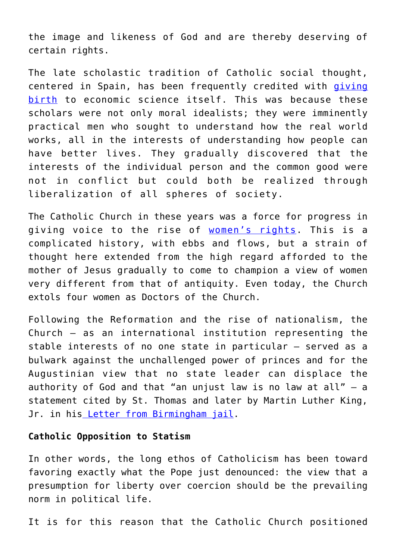the image and likeness of God and are thereby deserving of certain rights.

The late scholastic tradition of Catholic social thought, centered in Spain, has been frequently credited with [giving](https://fee.org/articles/free-market-economists-400-years-ago/) [birth](https://fee.org/articles/free-market-economists-400-years-ago/) to economic science itself. This was because these scholars were not only moral idealists; they were imminently practical men who sought to understand how the real world works, all in the interests of understanding how people can have better lives. They gradually discovered that the interests of the individual person and the common good were not in conflict but could both be realized through liberalization of all spheres of society.

The Catholic Church in these years was a force for progress in giving voice to the rise of [women's rights.](https://en.wikipedia.org/wiki/Women_in_the_Catholic_Church) This is a complicated history, with ebbs and flows, but a strain of thought here extended from the high regard afforded to the mother of Jesus gradually to come to champion a view of women very different from that of antiquity. Even today, the Church extols four women as Doctors of the Church.

Following the Reformation and the rise of nationalism, the Church – as an international institution representing the stable interests of no one state in particular – served as a bulwark against the unchallenged power of princes and for the Augustinian view that no state leader can displace the authority of God and that "an unjust law is no law at all"  $-$  a statement cited by St. Thomas and later by Martin Luther King, Jr. in his [Letter from Birmingham jail](https://fee.org/articles/letter-from-a-birmingham-jail/).

# **Catholic Opposition to Statism**

In other words, the long ethos of Catholicism has been toward favoring exactly what the Pope just denounced: the view that a presumption for liberty over coercion should be the prevailing norm in political life.

It is for this reason that the Catholic Church positioned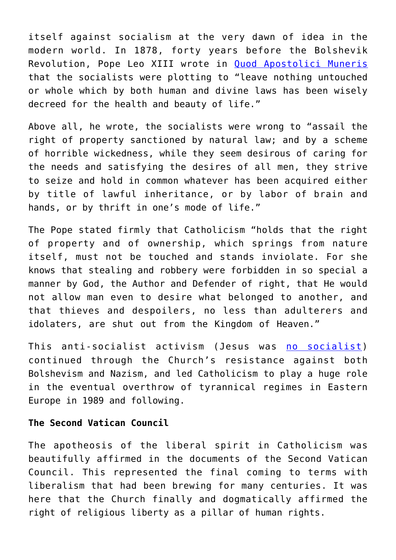itself against socialism at the very dawn of idea in the modern world. In 1878, forty years before the Bolshevik Revolution, Pope Leo XIII wrote in [Quod Apostolici Muneris](http://w2.vatican.va/content/leo-xiii/en/encyclicals/documents/hf_l-xiii_enc_28121878_quod-apostolici-muneris.html) that the socialists were plotting to "leave nothing untouched or whole which by both human and divine laws has been wisely decreed for the health and beauty of life."

Above all, he wrote, the socialists were wrong to "assail the right of property sanctioned by natural law; and by a scheme of horrible wickedness, while they seem desirous of caring for the needs and satisfying the desires of all men, they strive to seize and hold in common whatever has been acquired either by title of lawful inheritance, or by labor of brain and hands, or by thrift in one's mode of life."

The Pope stated firmly that Catholicism "holds that the right of property and of ownership, which springs from nature itself, must not be touched and stands inviolate. For she knows that stealing and robbery were forbidden in so special a manner by God, the Author and Defender of right, that He would not allow man even to desire what belonged to another, and that thieves and despoilers, no less than adulterers and idolaters, are shut out from the Kingdom of Heaven."

This anti-socialist activism (Jesus was [no socialist\)](https://fee.org/resources/rendering-unto-caesar-was-jesus-a-socialist/) continued through the Church's resistance against both Bolshevism and Nazism, and led Catholicism to play a huge role in the eventual overthrow of tyrannical regimes in Eastern Europe in 1989 and following.

# **The Second Vatican Council**

The apotheosis of the liberal spirit in Catholicism was beautifully affirmed in the documents of the Second Vatican Council. This represented the final coming to terms with liberalism that had been brewing for many centuries. It was here that the Church finally and dogmatically affirmed the right of religious liberty as a pillar of human rights.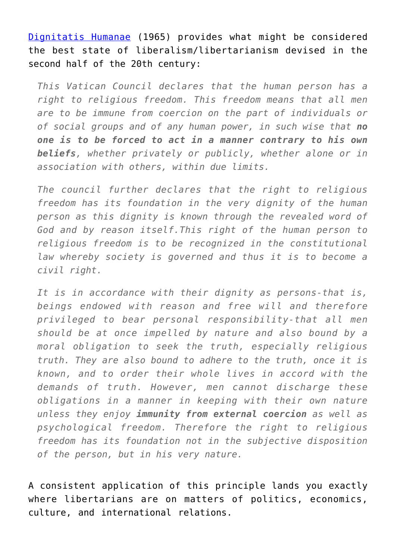[Dignitatis Humanae](http://www.vatican.va/archive/hist_councils/ii_vatican_council/documents/vat-ii_decl_19651207_dignitatis-humanae_en.html) (1965) provides what might be considered the best state of liberalism/libertarianism devised in the second half of the 20th century:

*This Vatican Council declares that the human person has a right to religious freedom. This freedom means that all men are to be immune from coercion on the part of individuals or of social groups and of any human power, in such wise that no one is to be forced to act in a manner contrary to his own beliefs, whether privately or publicly, whether alone or in association with others, within due limits.*

*The council further declares that the right to religious freedom has its foundation in the very dignity of the human person as this dignity is known through the revealed word of God and by reason itself.This right of the human person to religious freedom is to be recognized in the constitutional law whereby society is governed and thus it is to become a civil right.*

*It is in accordance with their dignity as persons-that is, beings endowed with reason and free will and therefore privileged to bear personal responsibility-that all men should be at once impelled by nature and also bound by a moral obligation to seek the truth, especially religious truth. They are also bound to adhere to the truth, once it is known, and to order their whole lives in accord with the demands of truth. However, men cannot discharge these obligations in a manner in keeping with their own nature unless they enjoy immunity from external coercion as well as psychological freedom. Therefore the right to religious freedom has its foundation not in the subjective disposition of the person, but in his very nature.*

A consistent application of this principle lands you exactly where libertarians are on matters of politics, economics, culture, and international relations.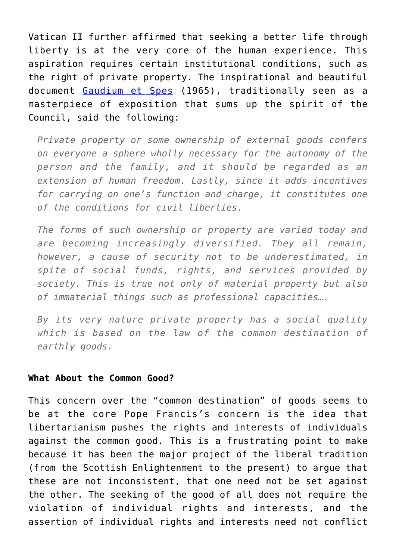Vatican II further affirmed that seeking a better life through liberty is at the very core of the human experience. This aspiration requires certain institutional conditions, such as the right of private property. The inspirational and beautiful document [Gaudium et Spes](http://www.vatican.va/archive/hist_councils/ii_vatican_council/documents/vat-ii_const_19651207_gaudium-et-spes_en.html) (1965), traditionally seen as a masterpiece of exposition that sums up the spirit of the Council, said the following:

*Private property or some ownership of external goods confers on everyone a sphere wholly necessary for the autonomy of the person and the family, and it should be regarded as an extension of human freedom. Lastly, since it adds incentives for carrying on one's function and charge, it constitutes one of the conditions for civil liberties.*

*The forms of such ownership or property are varied today and are becoming increasingly diversified. They all remain, however, a cause of security not to be underestimated, in spite of social funds, rights, and services provided by society. This is true not only of material property but also of immaterial things such as professional capacities….*

*By its very nature private property has a social quality which is based on the law of the common destination of earthly goods.*

### **What About the Common Good?**

This concern over the "common destination" of goods seems to be at the core Pope Francis's concern is the idea that libertarianism pushes the rights and interests of individuals against the common good. This is a frustrating point to make because it has been the major project of the liberal tradition (from the Scottish Enlightenment to the present) to argue that these are not inconsistent, that one need not be set against the other. The seeking of the good of all does not require the violation of individual rights and interests, and the assertion of individual rights and interests need not conflict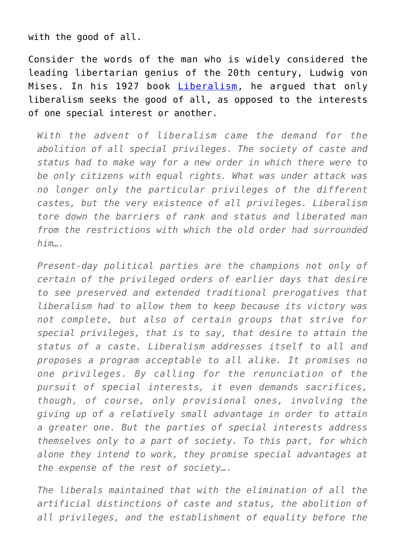with the good of all.

Consider the words of the man who is widely considered the leading libertarian genius of the 20th century, Ludwig von Mises. In his 1927 book [Liberalism](https://fee.org/resources/liberalism-by-ludwig-von-mises/#calibre_link-49), he argued that only liberalism seeks the good of all, as opposed to the interests of one special interest or another.

*With the advent of liberalism came the demand for the abolition of all special privileges. The society of caste and status had to make way for a new order in which there were to be only citizens with equal rights. What was under attack was no longer only the particular privileges of the different castes, but the very existence of all privileges. Liberalism tore down the barriers of rank and status and liberated man from the restrictions with which the old order had surrounded him….*

*Present-day political parties are the champions not only of certain of the privileged orders of earlier days that desire to see preserved and extended traditional prerogatives that liberalism had to allow them to keep because its victory was not complete, but also of certain groups that strive for special privileges, that is to say, that desire to attain the status of a caste. Liberalism addresses itself to all and proposes a program acceptable to all alike. It promises no one privileges. By calling for the renunciation of the pursuit of special interests, it even demands sacrifices, though, of course, only provisional ones, involving the giving up of a relatively small advantage in order to attain a greater one. But the parties of special interests address themselves only to a part of society. To this part, for which alone they intend to work, they promise special advantages at the expense of the rest of society….*

*The liberals maintained that with the elimination of all the artificial distinctions of caste and status, the abolition of all privileges, and the establishment of equality before the*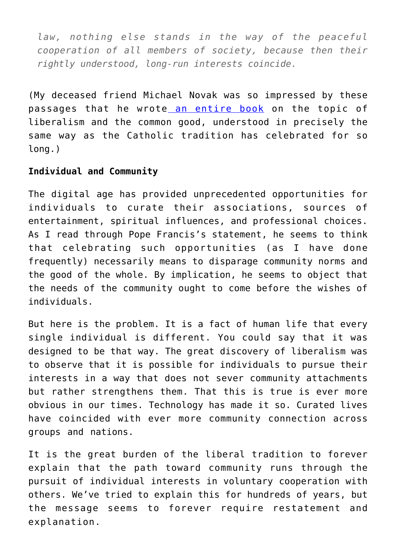*law, nothing else stands in the way of the peaceful cooperation of all members of society, because then their rightly understood, long-run interests coincide.*

(My deceased friend Michael Novak was so impressed by these passages that he wrote [an entire book](https://fee.org/articles/goodbye-to-michael-novak-friend-and-champion-of-liberty/) on the topic of liberalism and the common good, understood in precisely the same way as the Catholic tradition has celebrated for so long.)

# **Individual and Community**

The digital age has provided unprecedented opportunities for individuals to curate their associations, sources of entertainment, spiritual influences, and professional choices. As I read through Pope Francis's statement, he seems to think that celebrating such opportunities (as I have done frequently) necessarily means to disparage community norms and the good of the whole. By implication, he seems to object that the needs of the community ought to come before the wishes of individuals.

But here is the problem. It is a fact of human life that every single individual is different. You could say that it was designed to be that way. The great discovery of liberalism was to observe that it is possible for individuals to pursue their interests in a way that does not sever community attachments but rather strengthens them. That this is true is ever more obvious in our times. Technology has made it so. Curated lives have coincided with ever more community connection across groups and nations.

It is the great burden of the liberal tradition to forever explain that the path toward community runs through the pursuit of individual interests in voluntary cooperation with others. We've tried to explain this for hundreds of years, but the message seems to forever require restatement and explanation.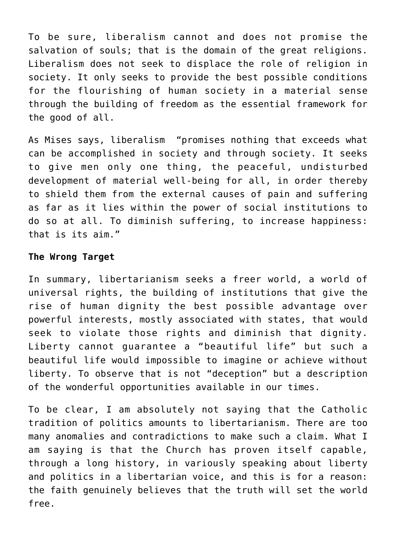To be sure, liberalism cannot and does not promise the salvation of souls; that is the domain of the great religions. Liberalism does not seek to displace the role of religion in society. It only seeks to provide the best possible conditions for the flourishing of human society in a material sense through the building of freedom as the essential framework for the good of all.

As Mises says, liberalism "promises nothing that exceeds what can be accomplished in society and through society. It seeks to give men only one thing, the peaceful, undisturbed development of material well-being for all, in order thereby to shield them from the external causes of pain and suffering as far as it lies within the power of social institutions to do so at all. To diminish suffering, to increase happiness: that is its aim."

# **The Wrong Target**

In summary, libertarianism seeks a freer world, a world of universal rights, the building of institutions that give the rise of human dignity the best possible advantage over powerful interests, mostly associated with states, that would seek to violate those rights and diminish that dignity. Liberty cannot guarantee a "beautiful life" but such a beautiful life would impossible to imagine or achieve without liberty. To observe that is not "deception" but a description of the wonderful opportunities available in our times.

To be clear, I am absolutely not saying that the Catholic tradition of politics amounts to libertarianism. There are too many anomalies and contradictions to make such a claim. What I am saying is that the Church has proven itself capable, through a long history, in variously speaking about liberty and politics in a libertarian voice, and this is for a reason: the faith genuinely believes that the truth will set the world free.